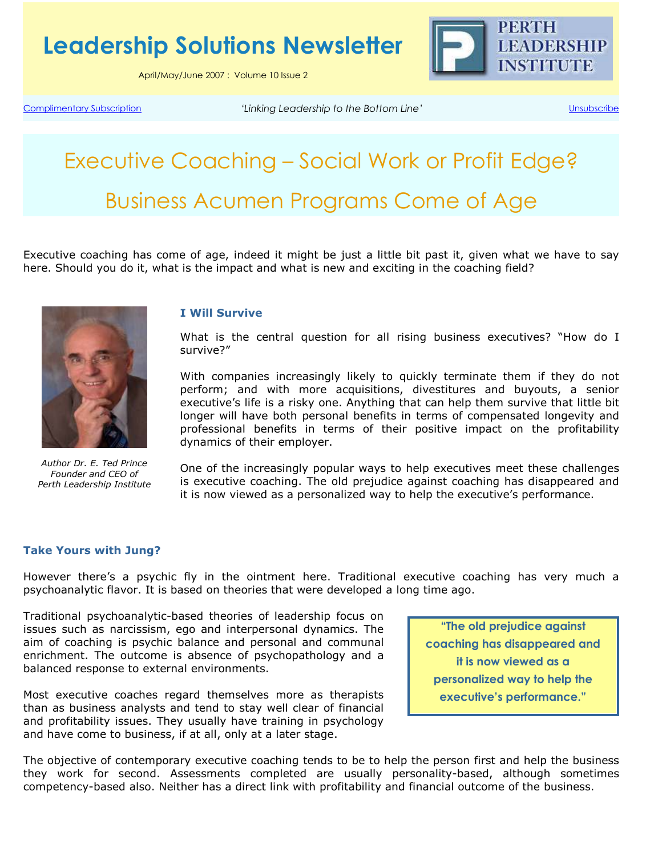Leadership Solutions Newsletter

April/May/June 2007 : Volume 10 Issue 2



Complimentary Subscription 'Linking Leadership to the Bottom Line' Unsubscribe

# Executive Coaching – Social Work or Profit Edge? Business Acumen Programs Come of Age

Executive coaching has come of age, indeed it might be just a little bit past it, given what we have to say here. Should you do it, what is the impact and what is new and exciting in the coaching field?



Author Dr. E. Ted Prince Founder and CEO of Perth Leadership Institute

#### I Will Survive

What is the central question for all rising business executives? "How do I survive?"

With companies increasingly likely to quickly terminate them if they do not perform; and with more acquisitions, divestitures and buyouts, a senior executive's life is a risky one. Anything that can help them survive that little bit longer will have both personal benefits in terms of compensated longevity and professional benefits in terms of their positive impact on the profitability dynamics of their employer.

One of the increasingly popular ways to help executives meet these challenges is executive coaching. The old prejudice against coaching has disappeared and it is now viewed as a personalized way to help the executive's performance.

#### Take Yours with Jung?

However there's a psychic fly in the ointment here. Traditional executive coaching has very much a psychoanalytic flavor. It is based on theories that were developed a long time ago.

Traditional psychoanalytic-based theories of leadership focus on issues such as narcissism, ego and interpersonal dynamics. The aim of coaching is psychic balance and personal and communal enrichment. The outcome is absence of psychopathology and a balanced response to external environments.

Most executive coaches regard themselves more as therapists than as business analysts and tend to stay well clear of financial and profitability issues. They usually have training in psychology and have come to business, if at all, only at a later stage.

"The old prejudice against coaching has disappeared and it is now viewed as a personalized way to help the executive's performance."

The objective of contemporary executive coaching tends to be to help the person first and help the business they work for second. Assessments completed are usually personality-based, although sometimes competency-based also. Neither has a direct link with profitability and financial outcome of the business.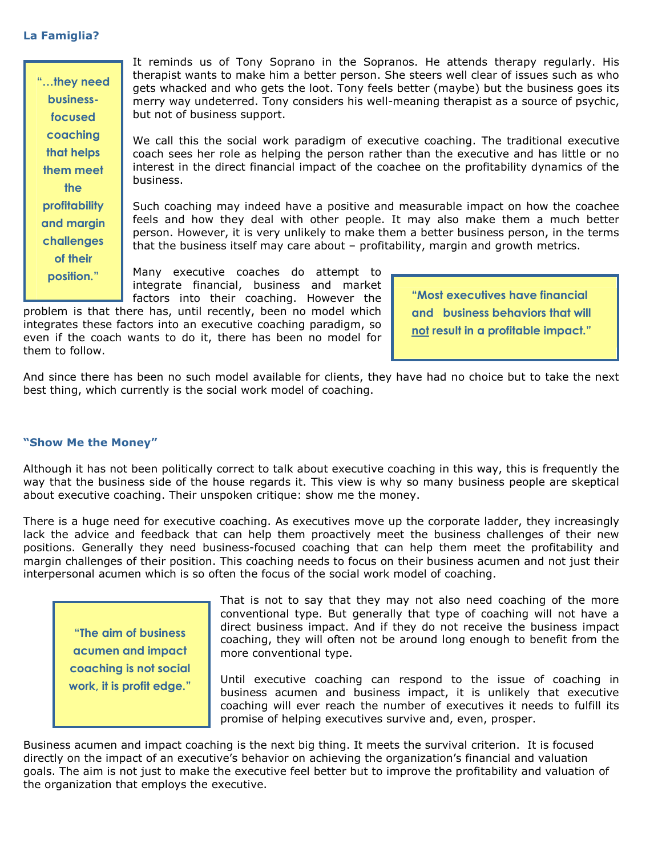### La Famiglia?

It reminds us of Tony Soprano in the Sopranos. He attends therapy regularly. His therapist wants to make him a better person. She steers well clear of issues such as who gets whacked and who gets the loot. Tony feels better (maybe) but the business goes its merry way undeterred. Tony considers his well-meaning therapist as a source of psychic, but not of business support. We call this the social work paradigm of executive coaching. The traditional executive coach sees her role as helping the person rather than the executive and has little or no interest in the direct financial impact of the coachee on the profitability dynamics of the business. Such coaching may indeed have a positive and measurable impact on how the coachee feels and how they deal with other people. It may also make them a much better person. However, it is very unlikely to make them a better business person, in the terms that the business itself may care about – profitability, margin and growth metrics. Many executive coaches do attempt to integrate financial, business and market factors into their coaching. However the "…they need businessfocused coaching that helps them meet the profitability and margin challenges of their position." "Most executives have financial

problem is that there has, until recently, been no model which integrates these factors into an executive coaching paradigm, so even if the coach wants to do it, there has been no model for them to follow.

and business behaviors that will not result in a profitable impact."

And since there has been no such model available for clients, they have had no choice but to take the next best thing, which currently is the social work model of coaching.

# "Show Me the Money"

Although it has not been politically correct to talk about executive coaching in this way, this is frequently the way that the business side of the house regards it. This view is why so many business people are skeptical about executive coaching. Their unspoken critique: show me the money.

There is a huge need for executive coaching. As executives move up the corporate ladder, they increasingly lack the advice and feedback that can help them proactively meet the business challenges of their new positions. Generally they need business-focused coaching that can help them meet the profitability and margin challenges of their position. This coaching needs to focus on their business acumen and not just their interpersonal acumen which is so often the focus of the social work model of coaching.

"The aim of business acumen and impact coaching is not social work, it is profit edge."

That is not to say that they may not also need coaching of the more conventional type. But generally that type of coaching will not have a direct business impact. And if they do not receive the business impact coaching, they will often not be around long enough to benefit from the more conventional type.

Until executive coaching can respond to the issue of coaching in business acumen and business impact, it is unlikely that executive coaching will ever reach the number of executives it needs to fulfill its promise of helping executives survive and, even, prosper.

Business acumen and impact coaching is the next big thing. It meets the survival criterion. It is focused directly on the impact of an executive's behavior on achieving the organization's financial and valuation goals. The aim is not just to make the executive feel better but to improve the profitability and valuation of the organization that employs the executive.